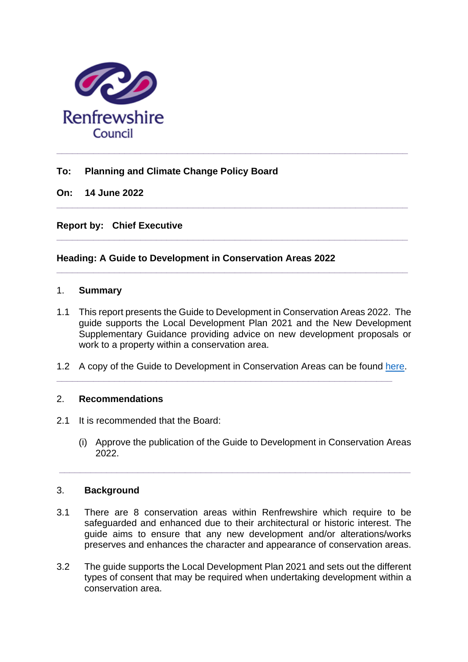

# **To: Planning and Climate Change Policy Board**

**On: 14 June 2022**

**Report by: Chief Executive** 

# **Heading: A Guide to Development in Conservation Areas 2022**

#### 1. **Summary**

1.1 This report presents the Guide to Development in Conservation Areas 2022. The guide supports the Local Development Plan 2021 and the New Development Supplementary Guidance providing advice on new development proposals or work to a property within a conservation area.

**\_\_\_\_\_\_\_\_\_\_\_\_\_\_\_\_\_\_\_\_\_\_\_\_\_\_\_\_\_\_\_\_\_\_\_\_\_\_\_\_\_\_\_\_\_\_\_\_\_\_\_\_\_\_\_\_\_\_\_\_\_\_\_\_\_\_\_**

**\_\_\_\_\_\_\_\_\_\_\_\_\_\_\_\_\_\_\_\_\_\_\_\_\_\_\_\_\_\_\_\_\_\_\_\_\_\_\_\_\_\_\_\_\_\_\_\_\_\_\_\_\_\_\_\_\_\_\_\_\_\_\_\_\_\_\_**

**\_\_\_\_\_\_\_\_\_\_\_\_\_\_\_\_\_\_\_\_\_\_\_\_\_\_\_\_\_\_\_\_\_\_\_\_\_\_\_\_\_\_\_\_\_\_\_\_\_\_\_\_\_\_\_\_\_\_\_\_\_\_\_\_\_\_\_**

1.2 A copy of the Guide to Development in Conservation Areas can be found [here.](https://www.renfrewshire.gov.uk/media/14633/Conservation-Area-Guidance-2022/pdf/Conservation_Area_Guidance_2022.pdf?m=1652780726623)

**\_\_\_\_\_\_\_\_\_\_\_\_\_\_\_\_\_\_\_\_\_\_\_\_\_\_\_\_\_\_\_\_\_\_\_\_\_\_\_\_\_\_\_\_\_\_\_\_\_\_\_\_\_\_\_\_\_\_\_\_\_\_\_\_**

### 2. **Recommendations**

- 2.1 It is recommended that the Board:
	- (i) Approve the publication of the Guide to Development in Conservation Areas 2022.

#### 3. **Background**

3.1 There are 8 conservation areas within Renfrewshire which require to be safeguarded and enhanced due to their architectural or historic interest. The guide aims to ensure that any new development and/or alterations/works preserves and enhances the character and appearance of conservation areas.

**\_\_\_\_\_\_\_\_\_\_\_\_\_\_\_\_\_\_\_\_\_\_\_\_\_\_\_\_\_\_\_\_\_\_\_\_\_\_\_\_\_\_\_\_\_\_\_\_\_\_\_\_\_\_\_\_\_\_\_\_\_\_\_\_\_\_\_**

3.2 The guide supports the Local Development Plan 2021 and sets out the different types of consent that may be required when undertaking development within a conservation area.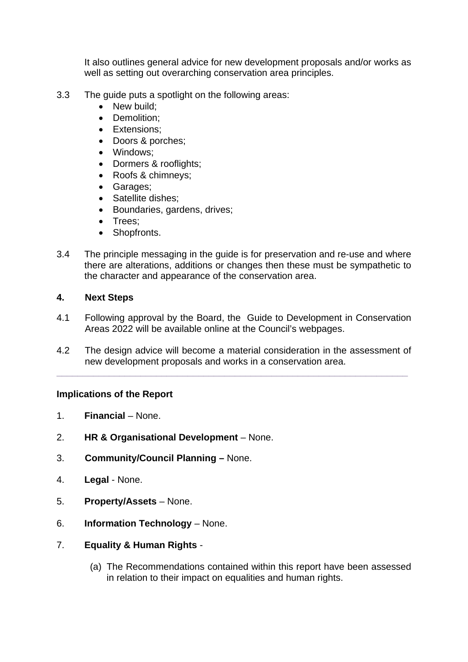It also outlines general advice for new development proposals and/or works as well as setting out overarching conservation area principles.

- 3.3 The guide puts a spotlight on the following areas:
	- New build:
	- Demolition;
	- Extensions;
	- Doors & porches;
	- Windows;
	- Dormers & rooflights;
	- Roofs & chimneys;
	- Garages;
	- Satellite dishes:
	- Boundaries, gardens, drives;
	- Trees;
	- Shopfronts.
- 3.4 The principle messaging in the guide is for preservation and re-use and where there are alterations, additions or changes then these must be sympathetic to the character and appearance of the conservation area.

### **4. Next Steps**

- 4.1 Following approval by the Board, the Guide to Development in Conservation Areas 2022 will be available online at the Council's webpages.
- 4.2 The design advice will become a material consideration in the assessment of new development proposals and works in a conservation area.

**\_\_\_\_\_\_\_\_\_\_\_\_\_\_\_\_\_\_\_\_\_\_\_\_\_\_\_\_\_\_\_\_\_\_\_\_\_\_\_\_\_\_\_\_\_\_\_\_\_\_\_\_\_\_\_\_\_\_\_\_\_\_\_\_\_\_\_**

### **Implications of the Report**

- 1. **Financial** None.
- 2. **HR & Organisational Development** None.
- 3. **Community/Council Planning –** None.
- 4. **Legal** None.
- 5. **Property/Assets** None.
- 6. **Information Technology** None.
- 7. **Equality & Human Rights**
	- (a) The Recommendations contained within this report have been assessed in relation to their impact on equalities and human rights.